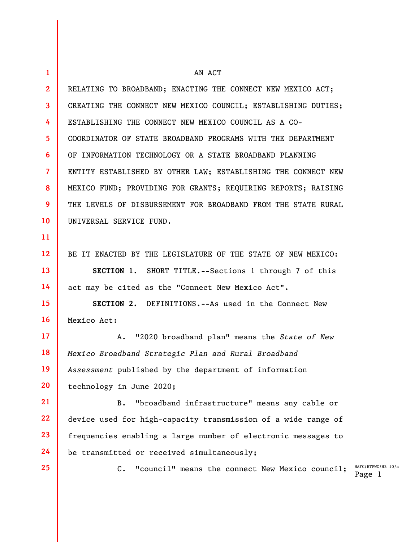| 1            | AN ACT                                                                       |
|--------------|------------------------------------------------------------------------------|
| $\mathbf{2}$ | RELATING TO BROADBAND; ENACTING THE CONNECT NEW MEXICO ACT;                  |
| 3            | CREATING THE CONNECT NEW MEXICO COUNCIL; ESTABLISHING DUTIES;                |
| 4            | ESTABLISHING THE CONNECT NEW MEXICO COUNCIL AS A CO-                         |
| 5            | COORDINATOR OF STATE BROADBAND PROGRAMS WITH THE DEPARTMENT                  |
| 6            | OF INFORMATION TECHNOLOGY OR A STATE BROADBAND PLANNING                      |
| 7            | ENTITY ESTABLISHED BY OTHER LAW; ESTABLISHING THE CONNECT NEW                |
| 8            | MEXICO FUND; PROVIDING FOR GRANTS; REQUIRING REPORTS; RAISING                |
| 9            | THE LEVELS OF DISBURSEMENT FOR BROADBAND FROM THE STATE RURAL                |
| 10           | UNIVERSAL SERVICE FUND.                                                      |
| 11           |                                                                              |
| 12           | BE IT ENACTED BY THE LEGISLATURE OF THE STATE OF NEW MEXICO:                 |
| 13           | SECTION 1. SHORT TITLE.--Sections 1 through 7 of this                        |
| 14           | act may be cited as the "Connect New Mexico Act".                            |
| 15           | SECTION 2. DEFINITIONS.--As used in the Connect New                          |
| 16           | Mexico Act:                                                                  |
| 17           | "2020 broadband plan" means the State of New<br>Α.                           |
| 18           | Mexico Broadband Strategic Plan and Rural Broadband                          |
| 19           | Assessment published by the department of information                        |
| 20           | technology in June 2020;                                                     |
| 21           | "broadband infrastructure" means any cable or<br>$B$ .                       |
| 22           | device used for high-capacity transmission of a wide range of                |
| 23           | frequencies enabling a large number of electronic messages to                |
| 24           | be transmitted or received simultaneously;                                   |
| 25           | HAFC/HT<br>"council" means the connect New Mexico council;<br>$\mathsf{C}$ . |

 $HTPWC/HB 10/a$ Page 1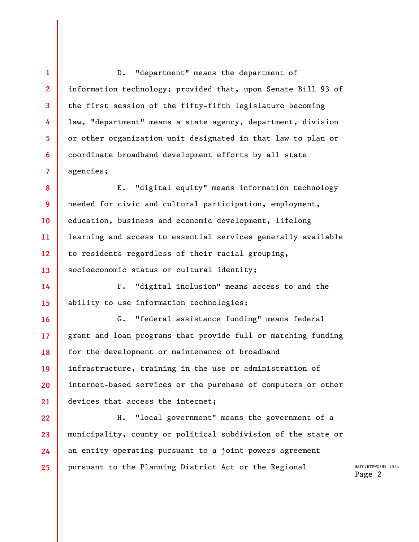D. "department" means the department of information technology; provided that, upon Senate Bill 93 of the first session of the fifty-fifth legislature becoming law, "department" means a state agency, department, division or other organization unit designated in that law to plan or coordinate broadband development efforts by all state agencies;

1

2

3

4

5

6

7

8 9 10 11 12 13 E. "digital equity" means information technology needed for civic and cultural participation, employment, education, business and economic development, lifelong learning and access to essential services generally available to residents regardless of their racial grouping, socioeconomic status or cultural identity;

14 15 F. "digital inclusion" means access to and the ability to use information technologies;

16 17 18 19 20 21 G. "federal assistance funding" means federal grant and loan programs that provide full or matching funding for the development or maintenance of broadband infrastructure, training in the use or administration of internet-based services or the purchase of computers or other devices that access the internet;

22 23 24 25 H. "local government" means the government of a municipality, county or political subdivision of the state or an entity operating pursuant to a joint powers agreement pursuant to the Planning District Act or the Regional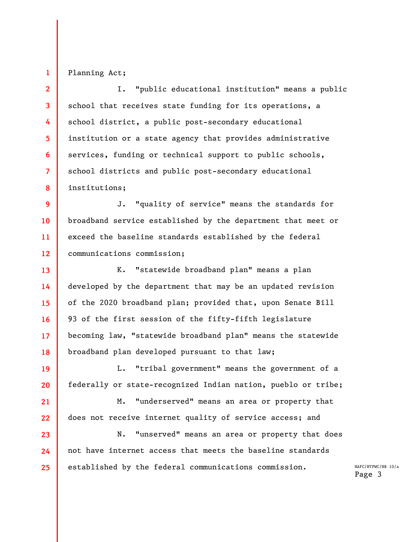## Planning Act;

1

15

16

17

21

22

23

24

25

2 3 4 5 6 7 8 I. "public educational institution" means a public school that receives state funding for its operations, a school district, a public post-secondary educational institution or a state agency that provides administrative services, funding or technical support to public schools, school districts and public post-secondary educational institutions;

9 10 11 12 J. "quality of service" means the standards for broadband service established by the department that meet or exceed the baseline standards established by the federal communications commission;

13 14 18 K. "statewide broadband plan" means a plan developed by the department that may be an updated revision of the 2020 broadband plan; provided that, upon Senate Bill 93 of the first session of the fifty-fifth legislature becoming law, "statewide broadband plan" means the statewide broadband plan developed pursuant to that law;

19 20 L. "tribal government" means the government of a federally or state-recognized Indian nation, pueblo or tribe;

M. "underserved" means an area or property that does not receive internet quality of service access; and

N. "unserved" means an area or property that does not have internet access that meets the baseline standards established by the federal communications commission.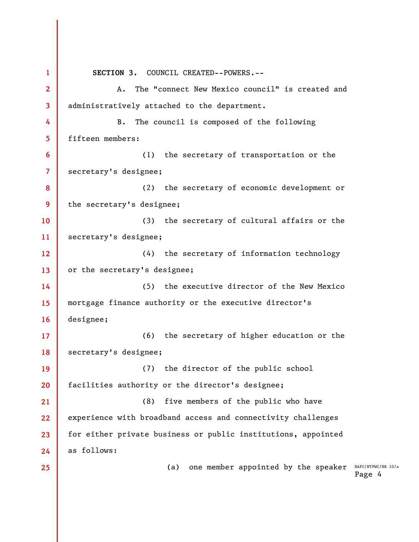(a) one member appointed by the speaker  $HAFC/HTPWC/HB 10/a$ Page 4 1 2 3 4 5 6 7 8 9 10 11 12 13 14 15 16 17 18 19 20 21 22 23 24 25 SECTION 3. COUNCIL CREATED--POWERS.-- A. The "connect New Mexico council" is created and administratively attached to the department. B. The council is composed of the following fifteen members: (1) the secretary of transportation or the secretary's designee; (2) the secretary of economic development or the secretary's designee; (3) the secretary of cultural affairs or the secretary's designee; (4) the secretary of information technology or the secretary's designee; (5) the executive director of the New Mexico mortgage finance authority or the executive director's designee; (6) the secretary of higher education or the secretary's designee; (7) the director of the public school facilities authority or the director's designee; (8) five members of the public who have experience with broadband access and connectivity challenges for either private business or public institutions, appointed as follows: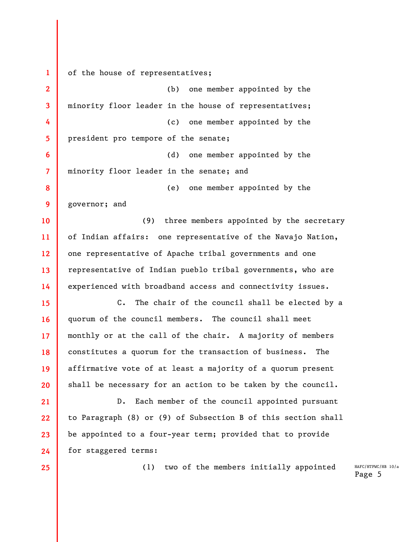1 2 3 4 5 6 7 8 9 10 11 12 13 14 15 16 17 18 19 20 21 22 23 24 25 of the house of representatives; (b) one member appointed by the minority floor leader in the house of representatives; (c) one member appointed by the president pro tempore of the senate; (d) one member appointed by the minority floor leader in the senate; and (e) one member appointed by the governor; and (9) three members appointed by the secretary of Indian affairs: one representative of the Navajo Nation, one representative of Apache tribal governments and one representative of Indian pueblo tribal governments, who are experienced with broadband access and connectivity issues. C. The chair of the council shall be elected by a quorum of the council members. The council shall meet monthly or at the call of the chair. A majority of members constitutes a quorum for the transaction of business. The affirmative vote of at least a majority of a quorum present shall be necessary for an action to be taken by the council. D. Each member of the council appointed pursuant to Paragraph (8) or (9) of Subsection B of this section shall be appointed to a four-year term; provided that to provide for staggered terms: (1) two of the members initially appointed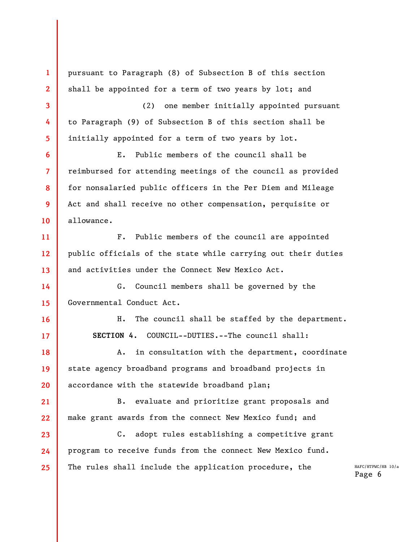HAFC/HTPWC/HB 10/a Page 6 1 2 3 4 5 6 7 8 9 10 11 12 13 14 15 16 17 18 19 20 21 22 23 24 25 pursuant to Paragraph (8) of Subsection B of this section shall be appointed for a term of two years by lot; and (2) one member initially appointed pursuant to Paragraph (9) of Subsection B of this section shall be initially appointed for a term of two years by lot. E. Public members of the council shall be reimbursed for attending meetings of the council as provided for nonsalaried public officers in the Per Diem and Mileage Act and shall receive no other compensation, perquisite or allowance. F. Public members of the council are appointed public officials of the state while carrying out their duties and activities under the Connect New Mexico Act. G. Council members shall be governed by the Governmental Conduct Act. H. The council shall be staffed by the department. SECTION 4. COUNCIL--DUTIES.--The council shall: A. in consultation with the department, coordinate state agency broadband programs and broadband projects in accordance with the statewide broadband plan; B. evaluate and prioritize grant proposals and make grant awards from the connect New Mexico fund; and C. adopt rules establishing a competitive grant program to receive funds from the connect New Mexico fund. The rules shall include the application procedure, the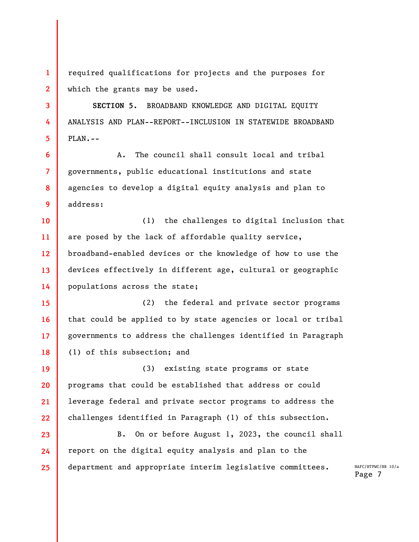1 2 required qualifications for projects and the purposes for which the grants may be used.

3

4

5

7

9

SECTION 5. BROADBAND KNOWLEDGE AND DIGITAL EQUITY ANALYSIS AND PLAN--REPORT--INCLUSION IN STATEWIDE BROADBAND PLAN.--

6 8 A. The council shall consult local and tribal governments, public educational institutions and state agencies to develop a digital equity analysis and plan to address:

10 11 12 13 14 (1) the challenges to digital inclusion that are posed by the lack of affordable quality service, broadband-enabled devices or the knowledge of how to use the devices effectively in different age, cultural or geographic populations across the state;

15 16 17 18 (2) the federal and private sector programs that could be applied to by state agencies or local or tribal governments to address the challenges identified in Paragraph (1) of this subsection; and

19 20 21 22 (3) existing state programs or state programs that could be established that address or could leverage federal and private sector programs to address the challenges identified in Paragraph (1) of this subsection.

23 24 25 B. On or before August 1, 2023, the council shall report on the digital equity analysis and plan to the department and appropriate interim legislative committees.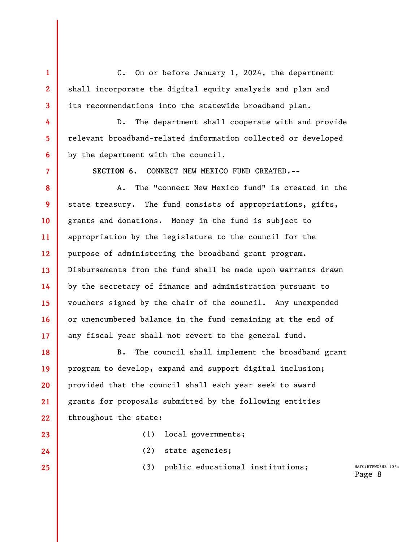C. On or before January 1, 2024, the department shall incorporate the digital equity analysis and plan and its recommendations into the statewide broadband plan.

1

2

3

4

5

6

7

23

24

25

D. The department shall cooperate with and provide relevant broadband-related information collected or developed by the department with the council.

SECTION 6. CONNECT NEW MEXICO FUND CREATED.--

8 9 10 11 12 13 14 15 16 17 A. The "connect New Mexico fund" is created in the state treasury. The fund consists of appropriations, gifts, grants and donations. Money in the fund is subject to appropriation by the legislature to the council for the purpose of administering the broadband grant program. Disbursements from the fund shall be made upon warrants drawn by the secretary of finance and administration pursuant to vouchers signed by the chair of the council. Any unexpended or unencumbered balance in the fund remaining at the end of any fiscal year shall not revert to the general fund.

18 19 20 21 22 B. The council shall implement the broadband grant program to develop, expand and support digital inclusion; provided that the council shall each year seek to award grants for proposals submitted by the following entities throughout the state:

- (1) local governments;
- (2) state agencies;

(3) public educational institutions;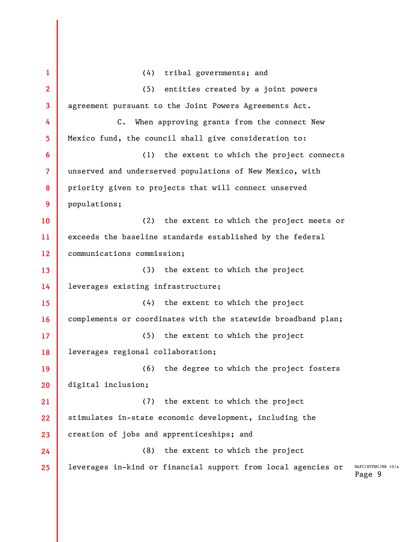HAFC/HTPWC/HB 10/a Page 9 1 2 3 4 5 6 7 8 9 10 11 12 13 14 15 16 17 18 19 20 21 22 23 24 25 (4) tribal governments; and (5) entities created by a joint powers agreement pursuant to the Joint Powers Agreements Act. C. When approving grants from the connect New Mexico fund, the council shall give consideration to: (1) the extent to which the project connects unserved and underserved populations of New Mexico, with priority given to projects that will connect unserved populations; (2) the extent to which the project meets or exceeds the baseline standards established by the federal communications commission; (3) the extent to which the project leverages existing infrastructure; (4) the extent to which the project complements or coordinates with the statewide broadband plan; (5) the extent to which the project leverages regional collaboration; (6) the degree to which the project fosters digital inclusion; (7) the extent to which the project stimulates in-state economic development, including the creation of jobs and apprenticeships; and (8) the extent to which the project leverages in-kind or financial support from local agencies or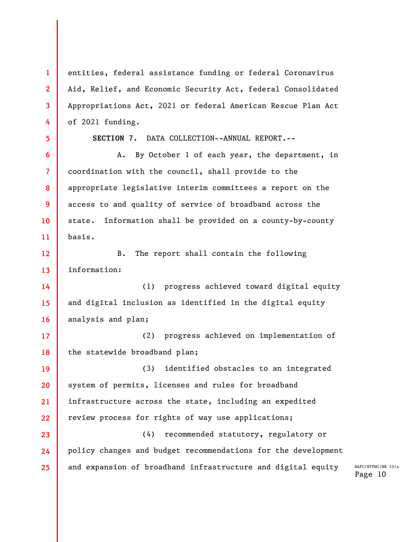entities, federal assistance funding or federal Coronavirus Aid, Relief, and Economic Security Act, federal Consolidated Appropriations Act, 2021 or federal American Rescue Plan Act of 2021 funding.

5

1

2

3

4

6

7

8

9

10

11

SECTION 7. DATA COLLECTION--ANNUAL REPORT.--

A. By October 1 of each year, the department, in coordination with the council, shall provide to the appropriate legislative interim committees a report on the access to and quality of service of broadband across the state. Information shall be provided on a county-by-county basis.

12 13 B. The report shall contain the following information:

14 15 16 (1) progress achieved toward digital equity and digital inclusion as identified in the digital equity analysis and plan;

17 18 (2) progress achieved on implementation of the statewide broadband plan;

19 20 21 22 (3) identified obstacles to an integrated system of permits, licenses and rules for broadband infrastructure across the state, including an expedited review process for rights of way use applications;

23 24 25 (4) recommended statutory, regulatory or policy changes and budget recommendations for the development and expansion of broadband infrastructure and digital equity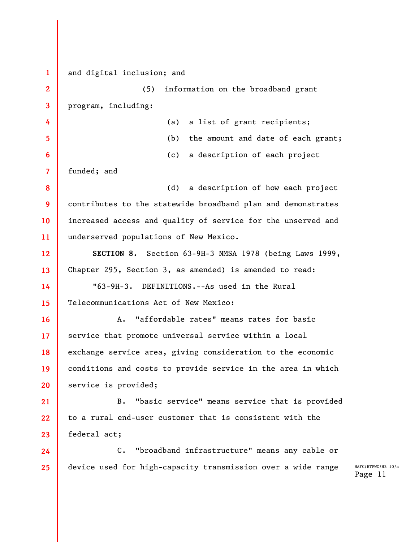1 2 3 4 5 6 7 8 9 10 11 12 13 14 15 16 17 18 19 20 21 22 23 24 25 and digital inclusion; and (5) information on the broadband grant program, including: (a) a list of grant recipients; (b) the amount and date of each grant; (c) a description of each project funded; and (d) a description of how each project contributes to the statewide broadband plan and demonstrates increased access and quality of service for the unserved and underserved populations of New Mexico. SECTION 8. Section 63-9H-3 NMSA 1978 (being Laws 1999, Chapter 295, Section 3, as amended) is amended to read: "63-9H-3. DEFINITIONS.--As used in the Rural Telecommunications Act of New Mexico: A. "affordable rates" means rates for basic service that promote universal service within a local exchange service area, giving consideration to the economic conditions and costs to provide service in the area in which service is provided; B. "basic service" means service that is provided to a rural end-user customer that is consistent with the federal act; C. "broadband infrastructure" means any cable or device used for high-capacity transmission over a wide range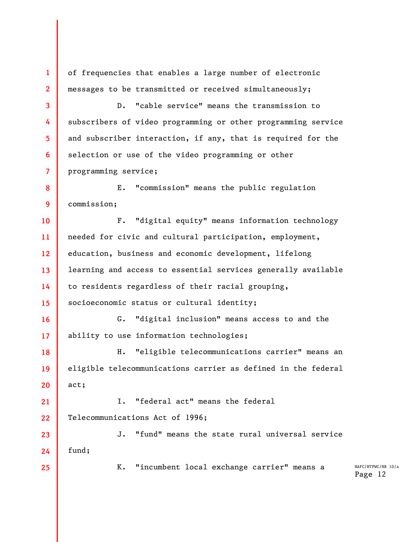of frequencies that enables a large number of electronic messages to be transmitted or received simultaneously;

D. "cable service" means the transmission to subscribers of video programming or other programming service and subscriber interaction, if any, that is required for the selection or use of the video programming or other programming service;

8 9 E. "commission" means the public regulation commission;

10 11 12 13 14 15 F. "digital equity" means information technology needed for civic and cultural participation, employment, education, business and economic development, lifelong learning and access to essential services generally available to residents regardless of their racial grouping, socioeconomic status or cultural identity;

17 G. "digital inclusion" means access to and the ability to use information technologies;

18 19 20 H. "eligible telecommunications carrier" means an eligible telecommunications carrier as defined in the federal act;

21 22 I. "federal act" means the federal Telecommunications Act of 1996;

23 24 J. "fund" means the state rural universal service fund;

25

1

2

3

4

5

6

7

16

K. "incumbent local exchange carrier" means a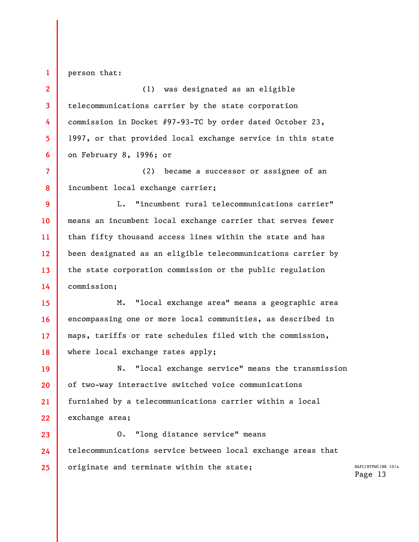person that:

1

2

5

3 4 6 (1) was designated as an eligible telecommunications carrier by the state corporation commission in Docket #97-93-TC by order dated October 23, 1997, or that provided local exchange service in this state on February 8, 1996; or

7 8 (2) became a successor or assignee of an incumbent local exchange carrier;

9 10 11 12 13 14 L. "incumbent rural telecommunications carrier" means an incumbent local exchange carrier that serves fewer than fifty thousand access lines within the state and has been designated as an eligible telecommunications carrier by the state corporation commission or the public regulation commission;

15 16 17 18 M. "local exchange area" means a geographic area encompassing one or more local communities, as described in maps, tariffs or rate schedules filed with the commission, where local exchange rates apply;

19 20 21 22 N. "local exchange service" means the transmission of two-way interactive switched voice communications furnished by a telecommunications carrier within a local exchange area;

23 24 25 O. "long distance service" means telecommunications service between local exchange areas that originate and terminate within the state;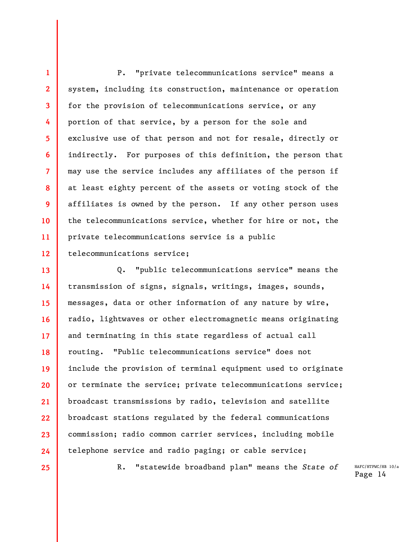1 2 3 4 5 6 7 8 9 10 11 12 P. "private telecommunications service" means a system, including its construction, maintenance or operation for the provision of telecommunications service, or any portion of that service, by a person for the sole and exclusive use of that person and not for resale, directly or indirectly. For purposes of this definition, the person that may use the service includes any affiliates of the person if at least eighty percent of the assets or voting stock of the affiliates is owned by the person. If any other person uses the telecommunications service, whether for hire or not, the private telecommunications service is a public telecommunications service;

13 14 15 16 17 18 19 20 21 22 23 24 Q. "public telecommunications service" means the transmission of signs, signals, writings, images, sounds, messages, data or other information of any nature by wire, radio, lightwaves or other electromagnetic means originating and terminating in this state regardless of actual call routing. "Public telecommunications service" does not include the provision of terminal equipment used to originate or terminate the service; private telecommunications service; broadcast transmissions by radio, television and satellite broadcast stations regulated by the federal communications commission; radio common carrier services, including mobile telephone service and radio paging; or cable service;

25

R. "statewide broadband plan" means the State of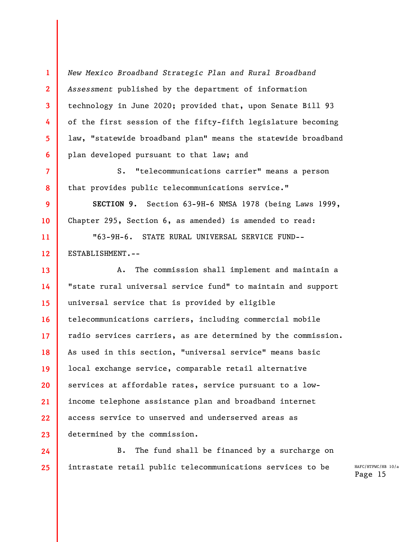New Mexico Broadband Strategic Plan and Rural Broadband Assessment published by the department of information technology in June 2020; provided that, upon Senate Bill 93 of the first session of the fifty-fifth legislature becoming law, "statewide broadband plan" means the statewide broadband plan developed pursuant to that law; and

1

2

3

4

5

6

7

8

9

10

S. "telecommunications carrier" means a person that provides public telecommunications service."

SECTION 9. Section 63-9H-6 NMSA 1978 (being Laws 1999, Chapter 295, Section 6, as amended) is amended to read:

11 12 "63-9H-6. STATE RURAL UNIVERSAL SERVICE FUND-- ESTABLISHMENT.--

13 14 15 16 17 18 19 20 21 22 23 A. The commission shall implement and maintain a "state rural universal service fund" to maintain and support universal service that is provided by eligible telecommunications carriers, including commercial mobile radio services carriers, as are determined by the commission. As used in this section, "universal service" means basic local exchange service, comparable retail alternative services at affordable rates, service pursuant to a lowincome telephone assistance plan and broadband internet access service to unserved and underserved areas as determined by the commission.

24 25 B. The fund shall be financed by a surcharge on intrastate retail public telecommunications services to be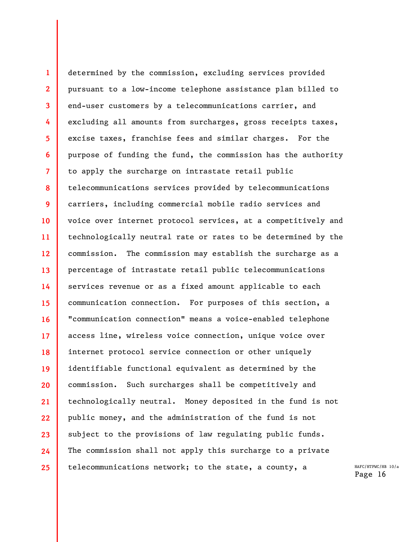1 2 3 4 5 6 7 8 9 10 11 12 13 14 15 16 17 18 19 20 21 22 23 24 25 determined by the commission, excluding services provided pursuant to a low-income telephone assistance plan billed to end-user customers by a telecommunications carrier, and excluding all amounts from surcharges, gross receipts taxes, excise taxes, franchise fees and similar charges. For the purpose of funding the fund, the commission has the authority to apply the surcharge on intrastate retail public telecommunications services provided by telecommunications carriers, including commercial mobile radio services and voice over internet protocol services, at a competitively and technologically neutral rate or rates to be determined by the commission. The commission may establish the surcharge as a percentage of intrastate retail public telecommunications services revenue or as a fixed amount applicable to each communication connection. For purposes of this section, a "communication connection" means a voice-enabled telephone access line, wireless voice connection, unique voice over internet protocol service connection or other uniquely identifiable functional equivalent as determined by the commission. Such surcharges shall be competitively and technologically neutral. Money deposited in the fund is not public money, and the administration of the fund is not subject to the provisions of law regulating public funds. The commission shall not apply this surcharge to a private telecommunications network; to the state, a county, a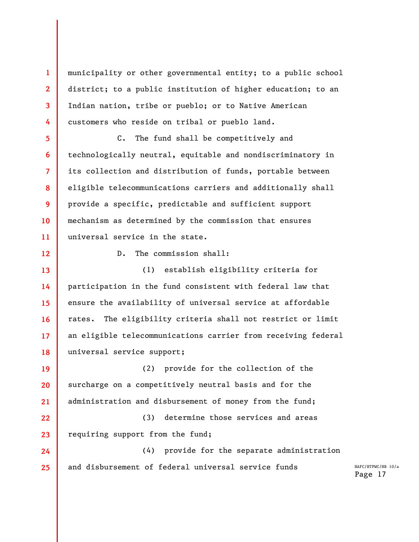municipality or other governmental entity; to a public school district; to a public institution of higher education; to an Indian nation, tribe or pueblo; or to Native American customers who reside on tribal or pueblo land.

6 11 C. The fund shall be competitively and technologically neutral, equitable and nondiscriminatory in its collection and distribution of funds, portable between eligible telecommunications carriers and additionally shall provide a specific, predictable and sufficient support mechanism as determined by the commission that ensures universal service in the state.

12

1

2

3

4

5

7

8

9

10

D. The commission shall:

13 14 15 16 17 18 (1) establish eligibility criteria for participation in the fund consistent with federal law that ensure the availability of universal service at affordable rates. The eligibility criteria shall not restrict or limit an eligible telecommunications carrier from receiving federal universal service support;

19 20 21 (2) provide for the collection of the surcharge on a competitively neutral basis and for the administration and disbursement of money from the fund;

22 23 (3) determine those services and areas requiring support from the fund;

24 25 (4) provide for the separate administration and disbursement of federal universal service funds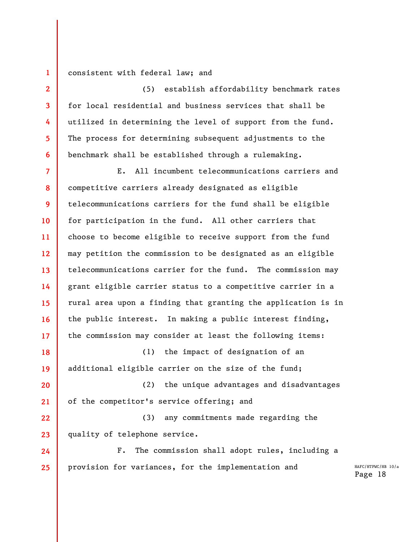consistent with federal law; and

1

2

3

4

5

6

(5) establish affordability benchmark rates for local residential and business services that shall be utilized in determining the level of support from the fund. The process for determining subsequent adjustments to the benchmark shall be established through a rulemaking.

7 8 9 10 11 12 13 14 15 16 17 E. All incumbent telecommunications carriers and competitive carriers already designated as eligible telecommunications carriers for the fund shall be eligible for participation in the fund. All other carriers that choose to become eligible to receive support from the fund may petition the commission to be designated as an eligible telecommunications carrier for the fund. The commission may grant eligible carrier status to a competitive carrier in a rural area upon a finding that granting the application is in the public interest. In making a public interest finding, the commission may consider at least the following items:

18 19 (1) the impact of designation of an additional eligible carrier on the size of the fund;

20 21 (2) the unique advantages and disadvantages of the competitor's service offering; and

22 23 (3) any commitments made regarding the quality of telephone service.

24 25 F. The commission shall adopt rules, including a provision for variances, for the implementation and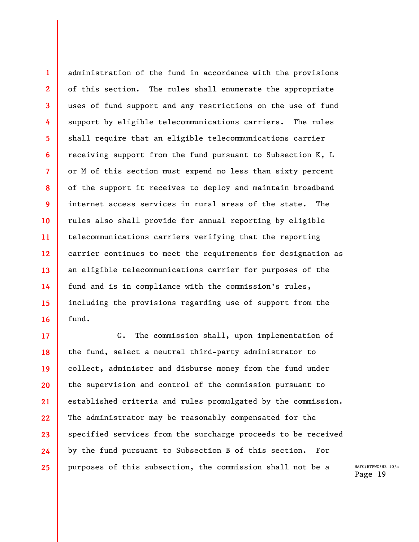administration of the fund in accordance with the provisions of this section. The rules shall enumerate the appropriate uses of fund support and any restrictions on the use of fund support by eligible telecommunications carriers. The rules shall require that an eligible telecommunications carrier receiving support from the fund pursuant to Subsection K, L or M of this section must expend no less than sixty percent of the support it receives to deploy and maintain broadband internet access services in rural areas of the state. The rules also shall provide for annual reporting by eligible telecommunications carriers verifying that the reporting carrier continues to meet the requirements for designation as an eligible telecommunications carrier for purposes of the fund and is in compliance with the commission's rules, including the provisions regarding use of support from the fund.

1

2

3

4

5

6

7

8

9

10

11

12

13

14

15

16

17 18 19 20 21 22 23 24 25 G. The commission shall, upon implementation of the fund, select a neutral third-party administrator to collect, administer and disburse money from the fund under the supervision and control of the commission pursuant to established criteria and rules promulgated by the commission. The administrator may be reasonably compensated for the specified services from the surcharge proceeds to be received by the fund pursuant to Subsection B of this section. For purposes of this subsection, the commission shall not be a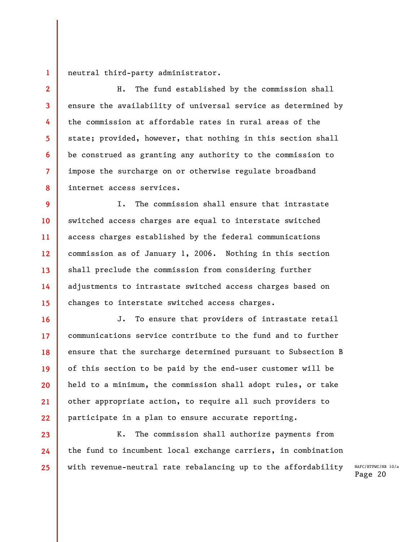neutral third-party administrator.

1

2

3

4

5

6

7

8

16

17

18

19

20

21

22

23

24

25

H. The fund established by the commission shall ensure the availability of universal service as determined by the commission at affordable rates in rural areas of the state; provided, however, that nothing in this section shall be construed as granting any authority to the commission to impose the surcharge on or otherwise regulate broadband internet access services.

9 10 11 12 13 14 15 I. The commission shall ensure that intrastate switched access charges are equal to interstate switched access charges established by the federal communications commission as of January 1, 2006. Nothing in this section shall preclude the commission from considering further adjustments to intrastate switched access charges based on changes to interstate switched access charges.

J. To ensure that providers of intrastate retail communications service contribute to the fund and to further ensure that the surcharge determined pursuant to Subsection B of this section to be paid by the end-user customer will be held to a minimum, the commission shall adopt rules, or take other appropriate action, to require all such providers to participate in a plan to ensure accurate reporting.

K. The commission shall authorize payments from the fund to incumbent local exchange carriers, in combination with revenue-neutral rate rebalancing up to the affordability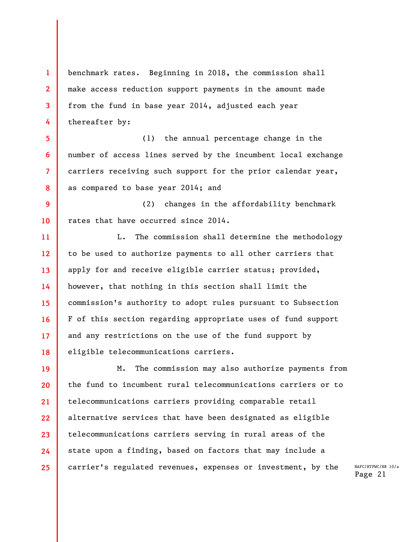1 2 3 4 benchmark rates. Beginning in 2018, the commission shall make access reduction support payments in the amount made from the fund in base year 2014, adjusted each year thereafter by:

5 6 7 8 (1) the annual percentage change in the number of access lines served by the incumbent local exchange carriers receiving such support for the prior calendar year, as compared to base year 2014; and

9 10 (2) changes in the affordability benchmark rates that have occurred since 2014.

11 12 13 14 15 16 17 18 L. The commission shall determine the methodology to be used to authorize payments to all other carriers that apply for and receive eligible carrier status; provided, however, that nothing in this section shall limit the commission's authority to adopt rules pursuant to Subsection F of this section regarding appropriate uses of fund support and any restrictions on the use of the fund support by eligible telecommunications carriers.

19 20 21 22 23 24 25 M. The commission may also authorize payments from the fund to incumbent rural telecommunications carriers or to telecommunications carriers providing comparable retail alternative services that have been designated as eligible telecommunications carriers serving in rural areas of the state upon a finding, based on factors that may include a carrier's regulated revenues, expenses or investment, by the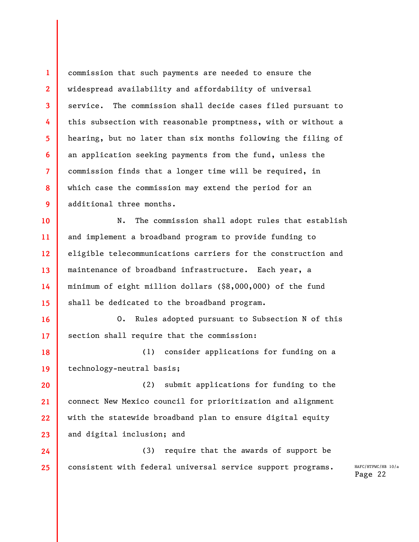1 2 3 4 5 6 7 8 9 commission that such payments are needed to ensure the widespread availability and affordability of universal service. The commission shall decide cases filed pursuant to this subsection with reasonable promptness, with or without a hearing, but no later than six months following the filing of an application seeking payments from the fund, unless the commission finds that a longer time will be required, in which case the commission may extend the period for an additional three months.

10 11 12 13 14 15 N. The commission shall adopt rules that establish and implement a broadband program to provide funding to eligible telecommunications carriers for the construction and maintenance of broadband infrastructure. Each year, a minimum of eight million dollars (\$8,000,000) of the fund shall be dedicated to the broadband program.

16 17 O. Rules adopted pursuant to Subsection N of this section shall require that the commission:

18 19 (1) consider applications for funding on a technology-neutral basis;

20 21 22 23 (2) submit applications for funding to the connect New Mexico council for prioritization and alignment with the statewide broadband plan to ensure digital equity and digital inclusion; and

24 25 (3) require that the awards of support be consistent with federal universal service support programs.